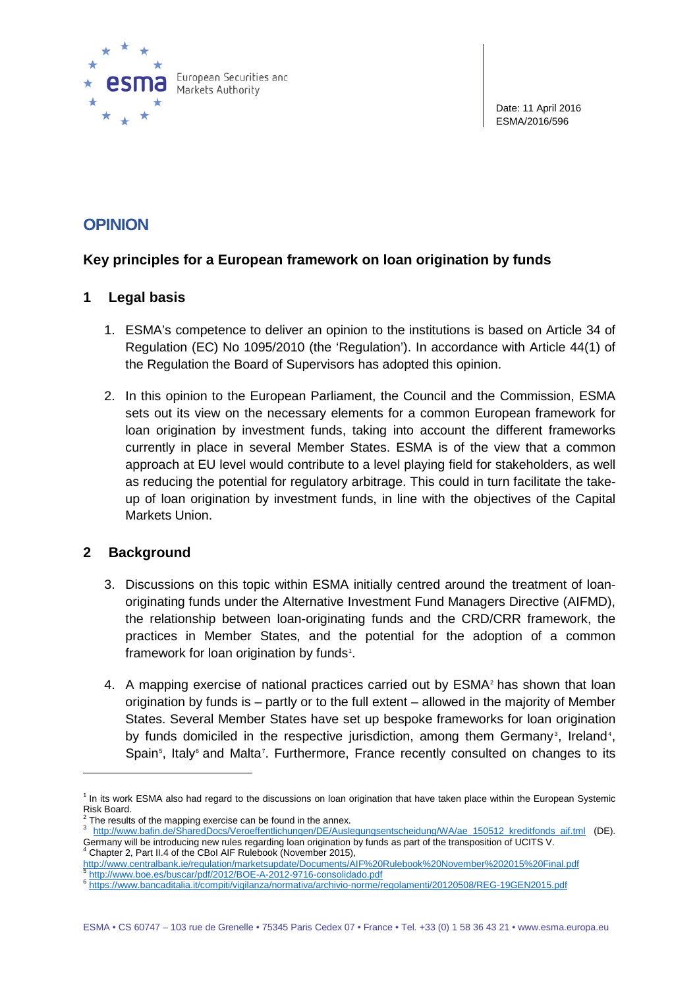

Date: 11 April 2016 ESMA/2016/596

# **OPINION**

# **Key principles for a European framework on loan origination by funds**

# **1 Legal basis**

- 1. ESMA's competence to deliver an opinion to the institutions is based on Article 34 of Regulation (EC) No 1095/2010 (the 'Regulation'). In accordance with Article 44(1) of the Regulation the Board of Supervisors has adopted this opinion.
- 2. In this opinion to the European Parliament, the Council and the Commission, ESMA sets out its view on the necessary elements for a common European framework for loan origination by investment funds, taking into account the different frameworks currently in place in several Member States. ESMA is of the view that a common approach at EU level would contribute to a level playing field for stakeholders, as well as reducing the potential for regulatory arbitrage. This could in turn facilitate the takeup of loan origination by investment funds, in line with the objectives of the Capital Markets Union.

# **2 Background**

-

- 3. Discussions on this topic within ESMA initially centred around the treatment of loanoriginating funds under the Alternative Investment Fund Managers Directive (AIFMD), the relationship between loan-originating funds and the CRD/CRR framework, the practices in Member States, and the potential for the adoption of a common framework for loan origination by funds<sup>[1](#page-0-0)</sup>.
- 4. A mapping exercise of national practices carried out by ESMA<sup>[2](#page-0-1)</sup> has shown that loan origination by funds is – partly or to the full extent – allowed in the majority of Member States. Several Member States have set up bespoke frameworks for loan origination by funds domiciled in the respective jurisdiction, among them Germany<sup>[3](#page-0-2)</sup>, Ireland<sup>[4](#page-0-3)</sup>, Spain<sup>[5](#page-0-4)</sup>, Italy<sup>[6](#page-0-5)</sup> and Malta<sup>[7](#page-0-1)</sup>. Furthermore, France recently consulted on changes to its

<span id="page-0-0"></span><sup>&</sup>lt;sup>1</sup> In its work ESMA also had regard to the discussions on loan origination that have taken place within the European Systemic<br>Risk Board.

<span id="page-0-2"></span><span id="page-0-1"></span> $\frac{2}{3}$  The results of the mapping exercise can be found in the annex.<br>3 [http://www.bafin.de/SharedDocs/Veroeffentlichungen/DE/Auslegungsentscheidung/WA/ae\\_150512\\_kreditfonds\\_aif.tml](http://www.bafin.de/SharedDocs/Veroeffentlichungen/DE/Auslegungsentscheidung/WA/ae_150512_kreditfonds_aif.tml) (DE). Germany will be introducing new rules regarding loan origination by funds as part of the transposition of UCITS V.<br><sup>4</sup> Chapter 2, Part II.4 of the CBoI AIF Rulebook (November 2015),

<span id="page-0-3"></span><http://www.centralbank.ie/regulation/marketsupdate/Documents/AIF%20Rulebook%20November%202015%20Final.pdf>

<span id="page-0-5"></span><span id="page-0-4"></span><sup>5</sup> <http://www.boe.es/buscar/pdf/2012/BOE-A-2012-9716-consolidado.pdf> <sup>6</sup> <https://www.bancaditalia.it/compiti/vigilanza/normativa/archivio-norme/regolamenti/20120508/REG-19GEN2015.pdf>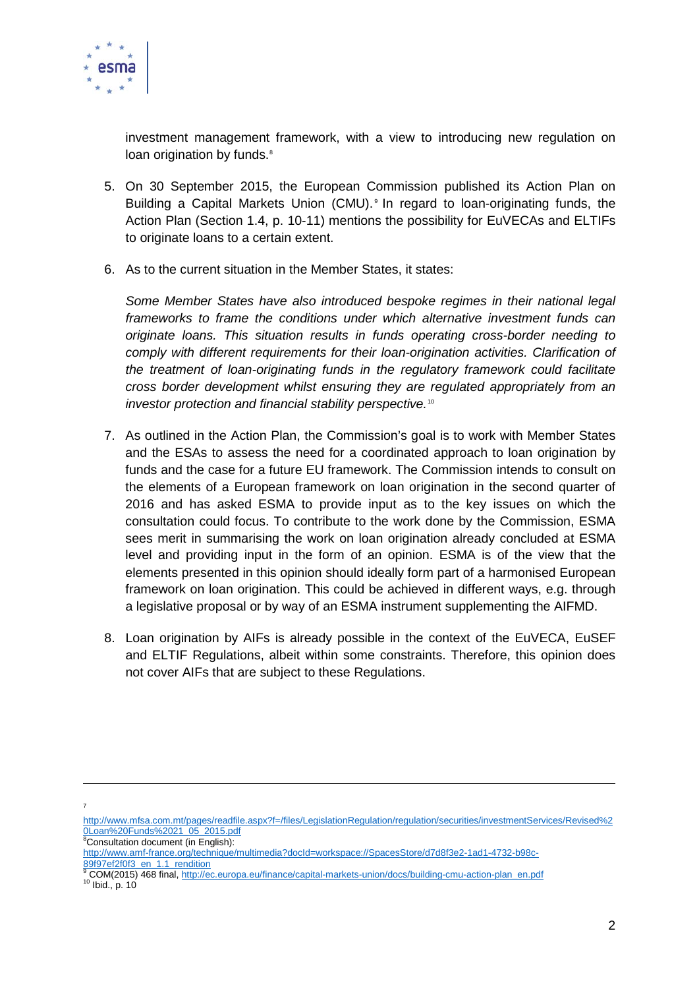

investment management framework, with a view to introducing new regulation on loan origination by funds.<sup>[8](#page-1-0)</sup>

- 5. On 30 September 2015, the European Commission published its Action Plan on Building a Capital Markets Union (CMU).<sup>[9](#page-1-1)</sup> In regard to loan-originating funds, the Action Plan (Section 1.4, p. 10-11) mentions the possibility for EuVECAs and ELTIFs to originate loans to a certain extent.
- 6. As to the current situation in the Member States, it states:

*Some Member States have also introduced bespoke regimes in their national legal frameworks to frame the conditions under which alternative investment funds can originate loans. This situation results in funds operating cross-border needing to comply with different requirements for their loan-origination activities. Clarification of the treatment of loan-originating funds in the regulatory framework could facilitate cross border development whilst ensuring they are regulated appropriately from an investor protection and financial stability perspective.*[10](#page-1-2)

- 7. As outlined in the Action Plan, the Commission's goal is to work with Member States and the ESAs to assess the need for a coordinated approach to loan origination by funds and the case for a future EU framework. The Commission intends to consult on the elements of a European framework on loan origination in the second quarter of 2016 and has asked ESMA to provide input as to the key issues on which the consultation could focus. To contribute to the work done by the Commission, ESMA sees merit in summarising the work on loan origination already concluded at ESMA level and providing input in the form of an opinion. ESMA is of the view that the elements presented in this opinion should ideally form part of a harmonised European framework on loan origination. This could be achieved in different ways, e.g. through a legislative proposal or by way of an ESMA instrument supplementing the AIFMD.
- 8. Loan origination by AIFs is already possible in the context of the EuVECA, EuSEF and ELTIF Regulations, albeit within some constraints. Therefore, this opinion does not cover AIFs that are subject to these Regulations.

-7

<span id="page-1-0"></span>

[http://www.mfsa.com.mt/pages/readfile.aspx?f=/files/LegislationRegulation/regulation/securities/investmentServices/Revised%2](http://www.mfsa.com.mt/pages/readfile.aspx?f=/files/LegislationRegulation/regulation/securities/investmentServices/Revised%20Loan%20Funds%2021_05_2015.pdf) <u>[0Loan%20Funds%2021\\_05\\_2015.pdf](http://www.mfsa.com.mt/pages/readfile.aspx?f=/files/LegislationRegulation/regulation/securities/investmentServices/Revised%20Loan%20Funds%2021_05_2015.pdf)</u><br><sup>8</sup>Consultation document (in English):

http://www.amf-france.org/technique/multimedia?docId=workspace://SpacesStore/d7d8f3e2-1ad1-4732-b98c-<br>89f97ef2f0f3\_en\_1.1\_rendition<br>9 COM/3015) 488 final bttp://sc.

<span id="page-1-2"></span><span id="page-1-1"></span><sup>&</sup>lt;sup>9</sup> COM(2015) 468 final[, http://ec.europa.eu/finance/capital-markets-union/docs/building-cmu-action-plan\\_en.pdf](http://ec.europa.eu/finance/capital-markets-union/docs/building-cmu-action-plan_en.pdf) <sup>10</sup> Ibid., p. 10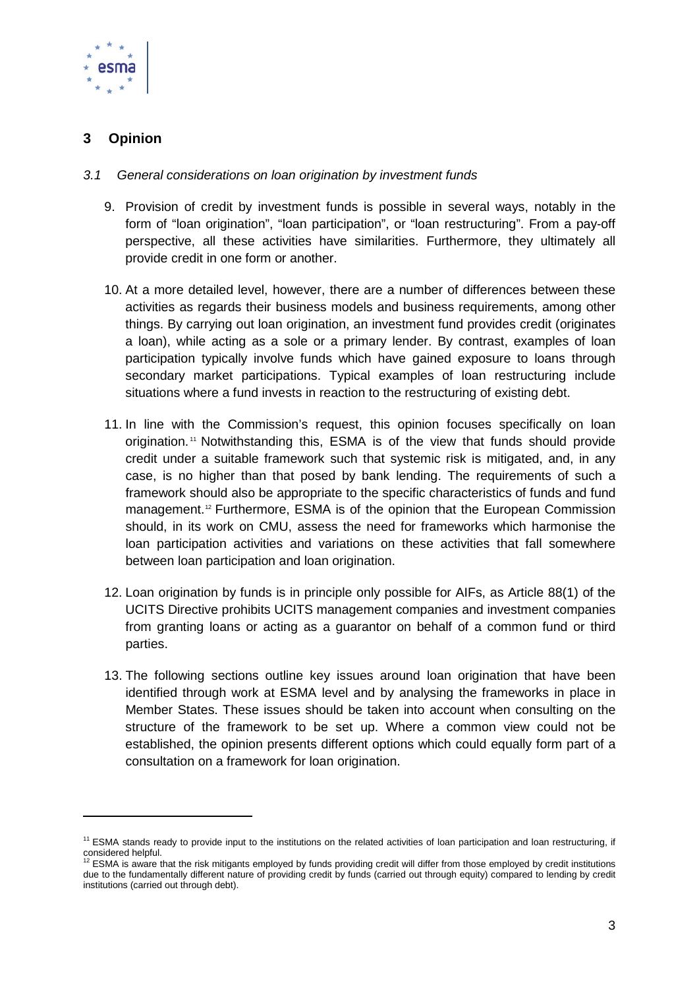

# **3 Opinion**

-

## *3.1 General considerations on loan origination by investment funds*

- 9. Provision of credit by investment funds is possible in several ways, notably in the form of "loan origination", "loan participation", or "loan restructuring". From a pay-off perspective, all these activities have similarities. Furthermore, they ultimately all provide credit in one form or another.
- 10. At a more detailed level, however, there are a number of differences between these activities as regards their business models and business requirements, among other things. By carrying out loan origination, an investment fund provides credit (originates a loan), while acting as a sole or a primary lender. By contrast, examples of loan participation typically involve funds which have gained exposure to loans through secondary market participations. Typical examples of loan restructuring include situations where a fund invests in reaction to the restructuring of existing debt.
- 11. In line with the Commission's request, this opinion focuses specifically on loan origination. [11](#page-2-0) Notwithstanding this, ESMA is of the view that funds should provide credit under a suitable framework such that systemic risk is mitigated, and, in any case, is no higher than that posed by bank lending. The requirements of such a framework should also be appropriate to the specific characteristics of funds and fund management. [12](#page-2-1) Furthermore, ESMA is of the opinion that the European Commission should, in its work on CMU, assess the need for frameworks which harmonise the loan participation activities and variations on these activities that fall somewhere between loan participation and loan origination.
- 12. Loan origination by funds is in principle only possible for AIFs, as Article 88(1) of the UCITS Directive prohibits UCITS management companies and investment companies from granting loans or acting as a guarantor on behalf of a common fund or third parties.
- 13. The following sections outline key issues around loan origination that have been identified through work at ESMA level and by analysing the frameworks in place in Member States. These issues should be taken into account when consulting on the structure of the framework to be set up. Where a common view could not be established, the opinion presents different options which could equally form part of a consultation on a framework for loan origination.

<span id="page-2-0"></span><sup>&</sup>lt;sup>11</sup> ESMA stands ready to provide input to the institutions on the related activities of loan participation and loan restructuring, if

<span id="page-2-1"></span>considered helpful.<br><sup>12</sup> ESMA is aware that the risk mitigants employed by funds providing credit will differ from those employed by credit institutions due to the fundamentally different nature of providing credit by funds (carried out through equity) compared to lending by credit institutions (carried out through debt).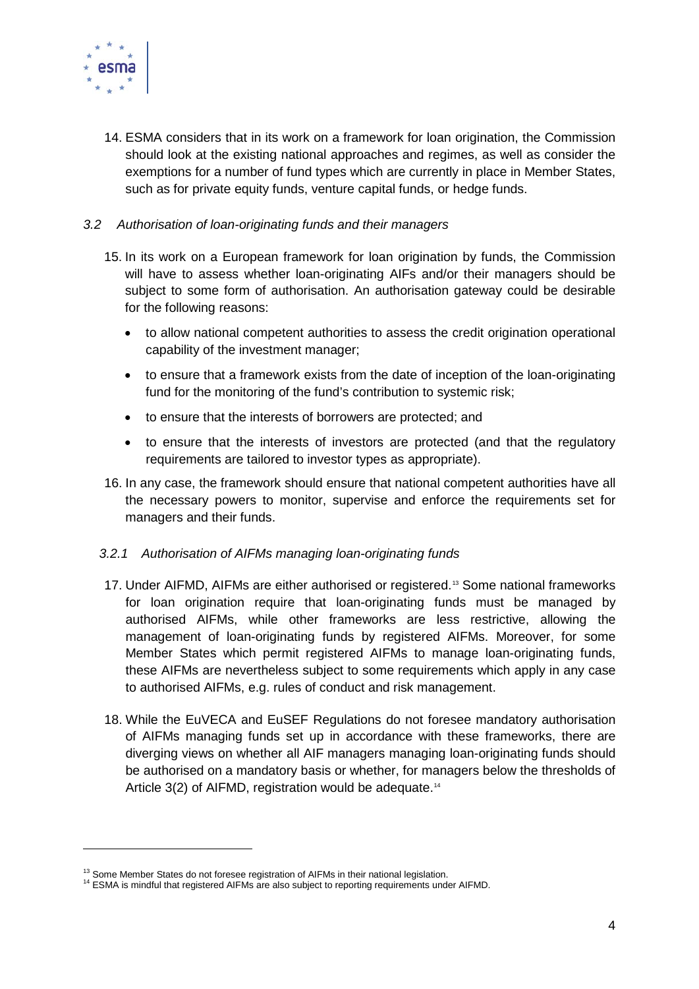

14. ESMA considers that in its work on a framework for loan origination, the Commission should look at the existing national approaches and regimes, as well as consider the exemptions for a number of fund types which are currently in place in Member States, such as for private equity funds, venture capital funds, or hedge funds.

## *3.2 Authorisation of loan-originating funds and their managers*

- 15. In its work on a European framework for loan origination by funds, the Commission will have to assess whether loan-originating AIFs and/or their managers should be subject to some form of authorisation. An authorisation gateway could be desirable for the following reasons:
	- to allow national competent authorities to assess the credit origination operational capability of the investment manager;
	- to ensure that a framework exists from the date of inception of the loan-originating fund for the monitoring of the fund's contribution to systemic risk;
	- to ensure that the interests of borrowers are protected; and
	- to ensure that the interests of investors are protected (and that the regulatory requirements are tailored to investor types as appropriate).
- 16. In any case, the framework should ensure that national competent authorities have all the necessary powers to monitor, supervise and enforce the requirements set for managers and their funds.

#### *3.2.1 Authorisation of AIFMs managing loan-originating funds*

- 17. Under AIFMD, AIFMs are either authorised or registered.<sup>[13](#page-3-0)</sup> Some national frameworks for loan origination require that loan-originating funds must be managed by authorised AIFMs, while other frameworks are less restrictive, allowing the management of loan-originating funds by registered AIFMs. Moreover, for some Member States which permit registered AIFMs to manage loan-originating funds, these AIFMs are nevertheless subject to some requirements which apply in any case to authorised AIFMs, e.g. rules of conduct and risk management.
- 18. While the EuVECA and EuSEF Regulations do not foresee mandatory authorisation of AIFMs managing funds set up in accordance with these frameworks, there are diverging views on whether all AIF managers managing loan-originating funds should be authorised on a mandatory basis or whether, for managers below the thresholds of Article 3(2) of AIFMD, registration would be adequate.<sup>[14](#page-3-1)</sup>

<span id="page-3-1"></span><span id="page-3-0"></span>

<sup>&</sup>lt;sup>13</sup> Some Member States do not foresee registration of AIFMs in their national legislation.<br><sup>14</sup> ESMA is mindful that registered AIFMs are also subject to reporting requirements under AIFMD.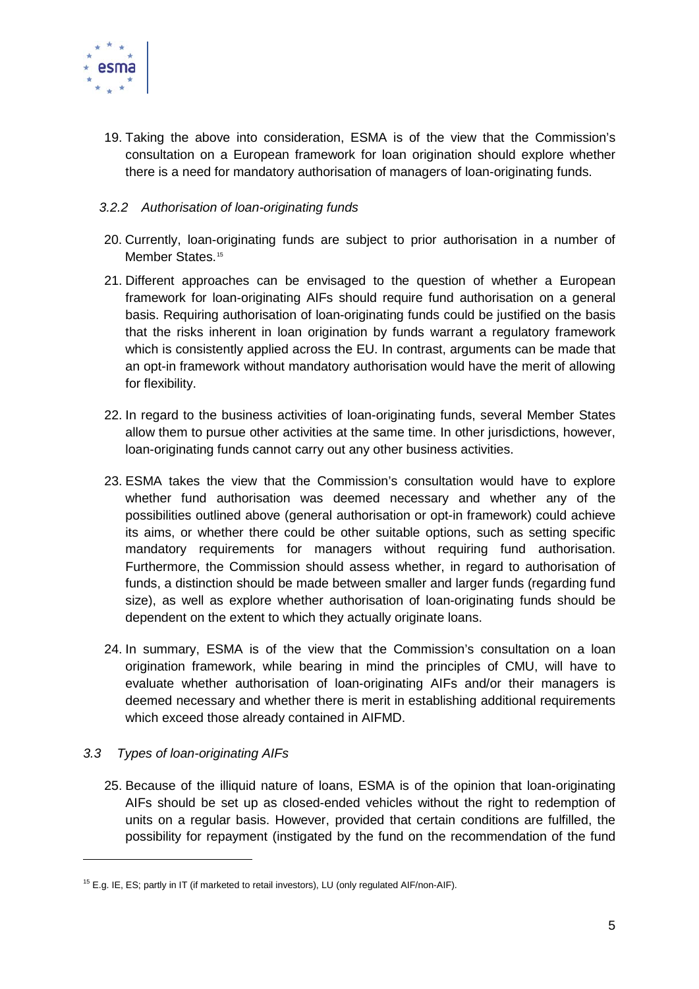

19. Taking the above into consideration, ESMA is of the view that the Commission's consultation on a European framework for loan origination should explore whether there is a need for mandatory authorisation of managers of loan-originating funds.

## *3.2.2 Authorisation of loan-originating funds*

- 20. Currently, loan-originating funds are subject to prior authorisation in a number of Member States.<sup>[15](#page-4-0)</sup>
- 21. Different approaches can be envisaged to the question of whether a European framework for loan-originating AIFs should require fund authorisation on a general basis. Requiring authorisation of loan-originating funds could be justified on the basis that the risks inherent in loan origination by funds warrant a regulatory framework which is consistently applied across the EU. In contrast, arguments can be made that an opt-in framework without mandatory authorisation would have the merit of allowing for flexibility.
- 22. In regard to the business activities of loan-originating funds, several Member States allow them to pursue other activities at the same time. In other jurisdictions, however, loan-originating funds cannot carry out any other business activities.
- 23. ESMA takes the view that the Commission's consultation would have to explore whether fund authorisation was deemed necessary and whether any of the possibilities outlined above (general authorisation or opt-in framework) could achieve its aims, or whether there could be other suitable options, such as setting specific mandatory requirements for managers without requiring fund authorisation. Furthermore, the Commission should assess whether, in regard to authorisation of funds, a distinction should be made between smaller and larger funds (regarding fund size), as well as explore whether authorisation of loan-originating funds should be dependent on the extent to which they actually originate loans.
- 24. In summary, ESMA is of the view that the Commission's consultation on a loan origination framework, while bearing in mind the principles of CMU, will have to evaluate whether authorisation of loan-originating AIFs and/or their managers is deemed necessary and whether there is merit in establishing additional requirements which exceed those already contained in AIFMD.

# *3.3 Types of loan-originating AIFs*

-

25. Because of the illiquid nature of loans, ESMA is of the opinion that loan-originating AIFs should be set up as closed-ended vehicles without the right to redemption of units on a regular basis. However, provided that certain conditions are fulfilled, the possibility for repayment (instigated by the fund on the recommendation of the fund

<span id="page-4-0"></span><sup>&</sup>lt;sup>15</sup> E.g. IE, ES; partly in IT (if marketed to retail investors), LU (only regulated AIF/non-AIF).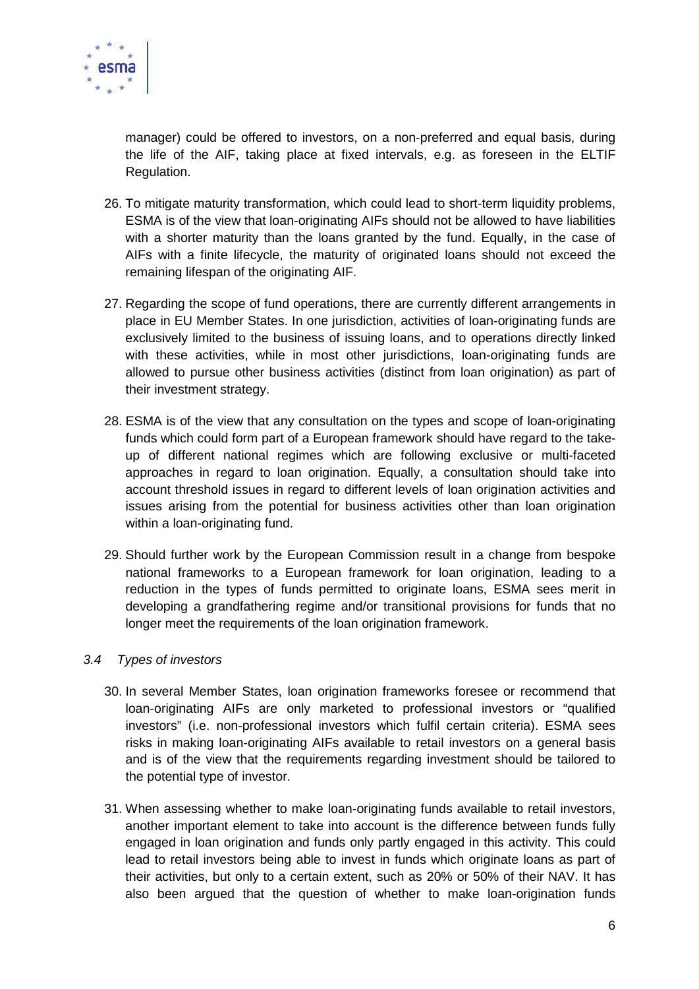

manager) could be offered to investors, on a non-preferred and equal basis, during the life of the AIF, taking place at fixed intervals, e.g. as foreseen in the ELTIF Regulation.

- 26. To mitigate maturity transformation, which could lead to short-term liquidity problems, ESMA is of the view that loan-originating AIFs should not be allowed to have liabilities with a shorter maturity than the loans granted by the fund. Equally, in the case of AIFs with a finite lifecycle, the maturity of originated loans should not exceed the remaining lifespan of the originating AIF.
- 27. Regarding the scope of fund operations, there are currently different arrangements in place in EU Member States. In one jurisdiction, activities of loan-originating funds are exclusively limited to the business of issuing loans, and to operations directly linked with these activities, while in most other jurisdictions, loan-originating funds are allowed to pursue other business activities (distinct from loan origination) as part of their investment strategy.
- 28. ESMA is of the view that any consultation on the types and scope of loan-originating funds which could form part of a European framework should have regard to the takeup of different national regimes which are following exclusive or multi-faceted approaches in regard to loan origination. Equally, a consultation should take into account threshold issues in regard to different levels of loan origination activities and issues arising from the potential for business activities other than loan origination within a loan-originating fund.
- 29. Should further work by the European Commission result in a change from bespoke national frameworks to a European framework for loan origination, leading to a reduction in the types of funds permitted to originate loans, ESMA sees merit in developing a grandfathering regime and/or transitional provisions for funds that no longer meet the requirements of the loan origination framework.

#### *3.4 Types of investors*

- 30. In several Member States, loan origination frameworks foresee or recommend that loan-originating AIFs are only marketed to professional investors or "qualified investors" (i.e. non-professional investors which fulfil certain criteria). ESMA sees risks in making loan-originating AIFs available to retail investors on a general basis and is of the view that the requirements regarding investment should be tailored to the potential type of investor.
- 31. When assessing whether to make loan-originating funds available to retail investors, another important element to take into account is the difference between funds fully engaged in loan origination and funds only partly engaged in this activity. This could lead to retail investors being able to invest in funds which originate loans as part of their activities, but only to a certain extent, such as 20% or 50% of their NAV. It has also been argued that the question of whether to make loan-origination funds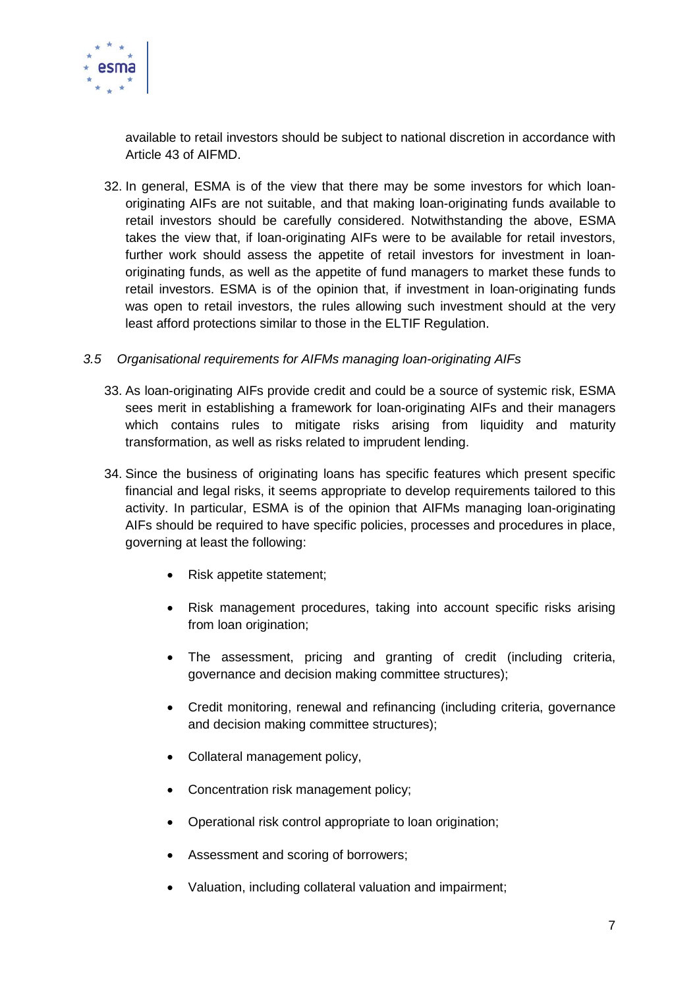

available to retail investors should be subject to national discretion in accordance with Article 43 of AIFMD.

32. In general, ESMA is of the view that there may be some investors for which loanoriginating AIFs are not suitable, and that making loan-originating funds available to retail investors should be carefully considered. Notwithstanding the above, ESMA takes the view that, if loan-originating AIFs were to be available for retail investors, further work should assess the appetite of retail investors for investment in loanoriginating funds, as well as the appetite of fund managers to market these funds to retail investors. ESMA is of the opinion that, if investment in loan-originating funds was open to retail investors, the rules allowing such investment should at the very least afford protections similar to those in the ELTIF Regulation.

## *3.5 Organisational requirements for AIFMs managing loan-originating AIFs*

- 33. As loan-originating AIFs provide credit and could be a source of systemic risk, ESMA sees merit in establishing a framework for loan-originating AIFs and their managers which contains rules to mitigate risks arising from liquidity and maturity transformation, as well as risks related to imprudent lending.
- 34. Since the business of originating loans has specific features which present specific financial and legal risks, it seems appropriate to develop requirements tailored to this activity. In particular, ESMA is of the opinion that AIFMs managing loan-originating AIFs should be required to have specific policies, processes and procedures in place, governing at least the following:
	- Risk appetite statement;
	- Risk management procedures, taking into account specific risks arising from loan origination;
	- The assessment, pricing and granting of credit (including criteria, governance and decision making committee structures);
	- Credit monitoring, renewal and refinancing (including criteria, governance and decision making committee structures);
	- Collateral management policy,
	- Concentration risk management policy;
	- Operational risk control appropriate to loan origination;
	- Assessment and scoring of borrowers;
	- Valuation, including collateral valuation and impairment;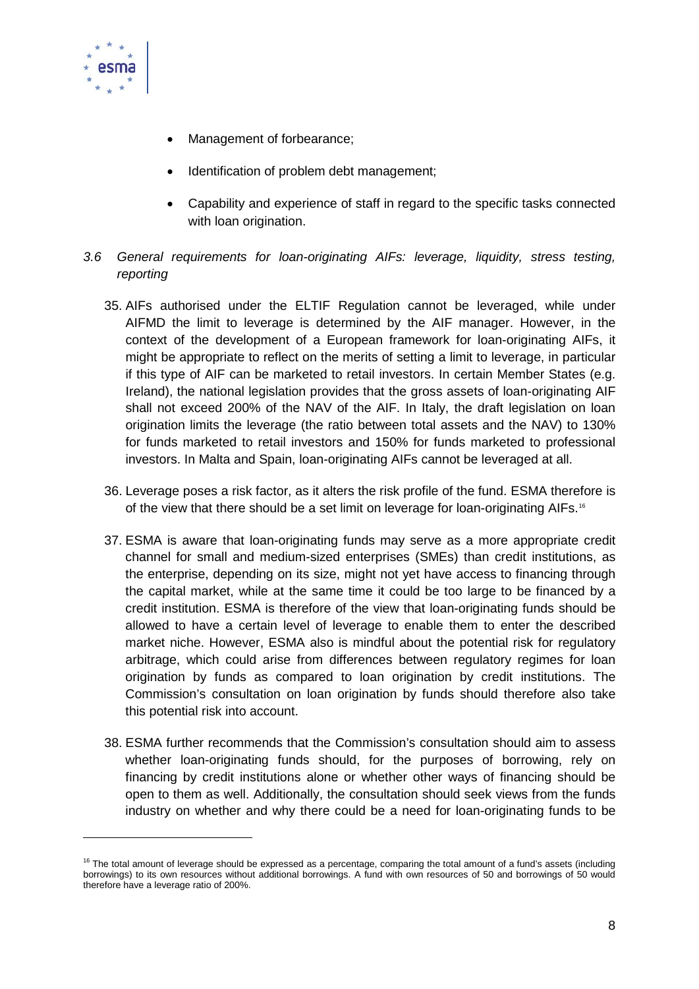

- Management of forbearance:
- Identification of problem debt management;
- Capability and experience of staff in regard to the specific tasks connected with loan origination.
- *3.6 General requirements for loan-originating AIFs: leverage, liquidity, stress testing, reporting*
	- 35. AIFs authorised under the ELTIF Regulation cannot be leveraged, while under AIFMD the limit to leverage is determined by the AIF manager. However, in the context of the development of a European framework for loan-originating AIFs, it might be appropriate to reflect on the merits of setting a limit to leverage, in particular if this type of AIF can be marketed to retail investors. In certain Member States (e.g. Ireland), the national legislation provides that the gross assets of loan-originating AIF shall not exceed 200% of the NAV of the AIF. In Italy, the draft legislation on loan origination limits the leverage (the ratio between total assets and the NAV) to 130% for funds marketed to retail investors and 150% for funds marketed to professional investors. In Malta and Spain, loan-originating AIFs cannot be leveraged at all.
	- 36. Leverage poses a risk factor, as it alters the risk profile of the fund. ESMA therefore is of the view that there should be a set limit on leverage for loan-originating AIFs.<sup>[16](#page-7-0)</sup>
	- 37. ESMA is aware that loan-originating funds may serve as a more appropriate credit channel for small and medium-sized enterprises (SMEs) than credit institutions, as the enterprise, depending on its size, might not yet have access to financing through the capital market, while at the same time it could be too large to be financed by a credit institution. ESMA is therefore of the view that loan-originating funds should be allowed to have a certain level of leverage to enable them to enter the described market niche. However, ESMA also is mindful about the potential risk for regulatory arbitrage, which could arise from differences between regulatory regimes for loan origination by funds as compared to loan origination by credit institutions. The Commission's consultation on loan origination by funds should therefore also take this potential risk into account.
	- 38. ESMA further recommends that the Commission's consultation should aim to assess whether loan-originating funds should, for the purposes of borrowing, rely on financing by credit institutions alone or whether other ways of financing should be open to them as well. Additionally, the consultation should seek views from the funds industry on whether and why there could be a need for loan-originating funds to be

<span id="page-7-0"></span> $16$  The total amount of leverage should be expressed as a percentage, comparing the total amount of a fund's assets (including borrowings) to its own resources without additional borrowings. A fund with own resources of 50 and borrowings of 50 would therefore have a leverage ratio of 200%.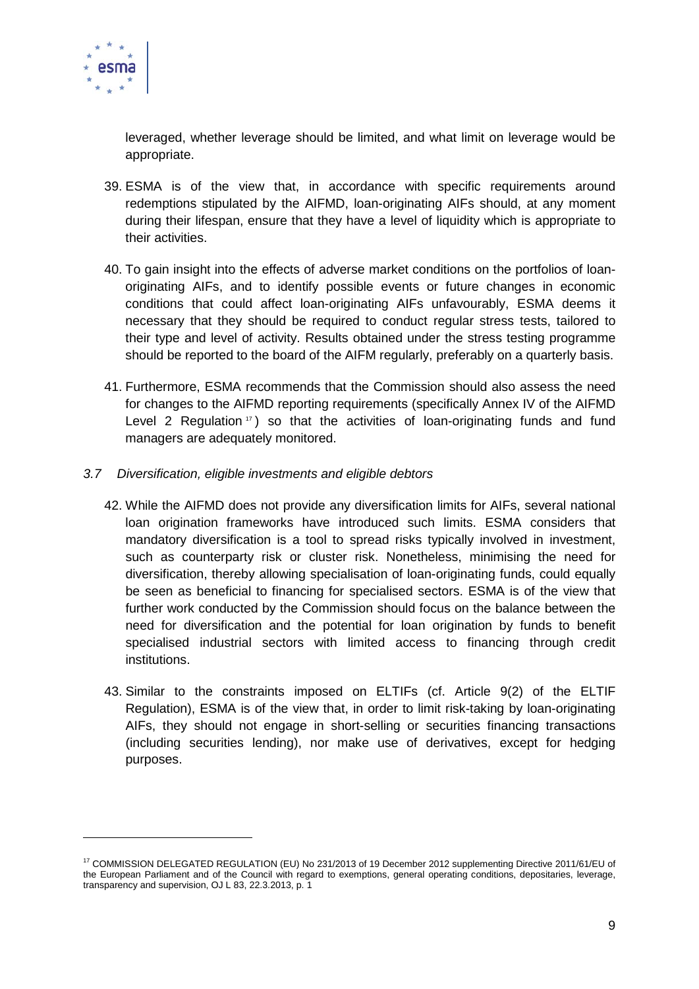

leveraged, whether leverage should be limited, and what limit on leverage would be appropriate.

- 39. ESMA is of the view that, in accordance with specific requirements around redemptions stipulated by the AIFMD, loan-originating AIFs should, at any moment during their lifespan, ensure that they have a level of liquidity which is appropriate to their activities.
- 40. To gain insight into the effects of adverse market conditions on the portfolios of loanoriginating AIFs, and to identify possible events or future changes in economic conditions that could affect loan-originating AIFs unfavourably, ESMA deems it necessary that they should be required to conduct regular stress tests, tailored to their type and level of activity. Results obtained under the stress testing programme should be reported to the board of the AIFM regularly, preferably on a quarterly basis.
- 41. Furthermore, ESMA recommends that the Commission should also assess the need for changes to the AIFMD reporting requirements (specifically Annex IV of the AIFMD Level 2 Regulation  $\tau$ ) so that the activities of loan-originating funds and fund managers are adequately monitored.
- *3.7 Diversification, eligible investments and eligible debtors*
	- 42. While the AIFMD does not provide any diversification limits for AIFs, several national loan origination frameworks have introduced such limits. ESMA considers that mandatory diversification is a tool to spread risks typically involved in investment, such as counterparty risk or cluster risk. Nonetheless, minimising the need for diversification, thereby allowing specialisation of loan-originating funds, could equally be seen as beneficial to financing for specialised sectors. ESMA is of the view that further work conducted by the Commission should focus on the balance between the need for diversification and the potential for loan origination by funds to benefit specialised industrial sectors with limited access to financing through credit institutions.
	- 43. Similar to the constraints imposed on ELTIFs (cf. Article 9(2) of the ELTIF Regulation), ESMA is of the view that, in order to limit risk-taking by loan-originating AIFs, they should not engage in short-selling or securities financing transactions (including securities lending), nor make use of derivatives, except for hedging purposes.

<span id="page-8-0"></span><sup>17</sup> COMMISSION DELEGATED REGULATION (EU) No 231/2013 of 19 December 2012 supplementing Directive 2011/61/EU of the European Parliament and of the Council with regard to exemptions, general operating conditions, depositaries, leverage, transparency and supervision, OJ L 83, 22.3.2013, p. 1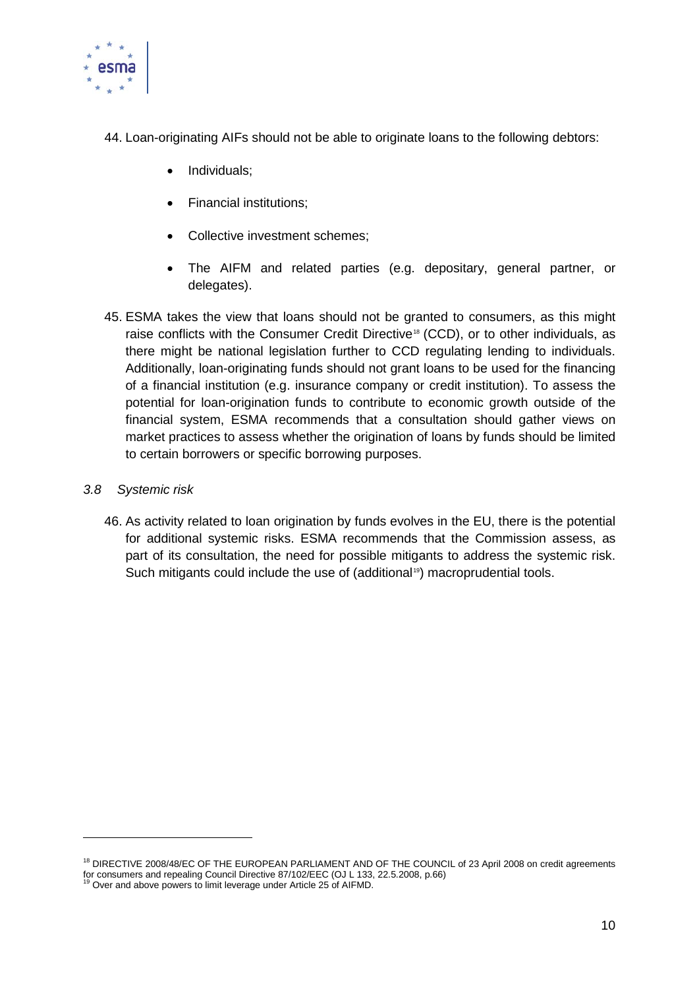

- 44. Loan-originating AIFs should not be able to originate loans to the following debtors:
	- Individuals;
	- Financial institutions;
	- Collective investment schemes;
	- The AIFM and related parties (e.g. depositary, general partner, or delegates).
- 45. ESMA takes the view that loans should not be granted to consumers, as this might raise conflicts with the Consumer Credit Directive<sup>[18](#page-9-0)</sup> (CCD), or to other individuals, as there might be national legislation further to CCD regulating lending to individuals. Additionally, loan-originating funds should not grant loans to be used for the financing of a financial institution (e.g. insurance company or credit institution). To assess the potential for loan-origination funds to contribute to economic growth outside of the financial system, ESMA recommends that a consultation should gather views on market practices to assess whether the origination of loans by funds should be limited to certain borrowers or specific borrowing purposes.
- *3.8 Systemic risk*

46. As activity related to loan origination by funds evolves in the EU, there is the potential for additional systemic risks. ESMA recommends that the Commission assess, as part of its consultation, the need for possible mitigants to address the systemic risk. Such mitigants could include the use of (additional<sup>19</sup>) macroprudential tools.

<span id="page-9-0"></span><sup>18</sup> DIRECTIVE 2008/48/EC OF THE EUROPEAN PARLIAMENT AND OF THE COUNCIL of 23 April 2008 on credit agreements for consumers and repealing Council Directive 87/102/EEC (OJ L 133, 22.5.2008, p.66) <sup>19</sup> Over and above powers to limit leverage under Article 25 of AIFMD.

<span id="page-9-1"></span>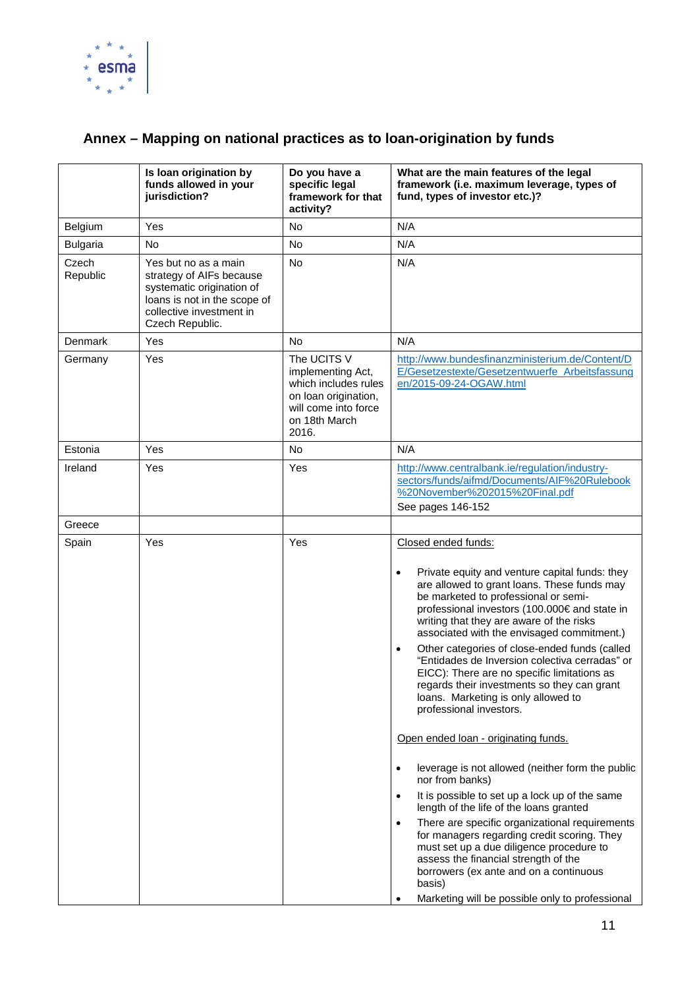

# **Annex – Mapping on national practices as to loan-origination by funds**

|                   | Is loan origination by<br>funds allowed in your<br>jurisdiction?                                                                                             | Do you have a<br>specific legal<br>framework for that<br>activity?                                                                 | What are the main features of the legal<br>framework (i.e. maximum leverage, types of<br>fund, types of investor etc.)?                                                                                                                                                                                                                                                                                                                                                                                                                                                                                                                                                                                                                                                                                                                                                                                                                                                                                                                                                                                                                             |
|-------------------|--------------------------------------------------------------------------------------------------------------------------------------------------------------|------------------------------------------------------------------------------------------------------------------------------------|-----------------------------------------------------------------------------------------------------------------------------------------------------------------------------------------------------------------------------------------------------------------------------------------------------------------------------------------------------------------------------------------------------------------------------------------------------------------------------------------------------------------------------------------------------------------------------------------------------------------------------------------------------------------------------------------------------------------------------------------------------------------------------------------------------------------------------------------------------------------------------------------------------------------------------------------------------------------------------------------------------------------------------------------------------------------------------------------------------------------------------------------------------|
| Belgium           | Yes                                                                                                                                                          | No                                                                                                                                 | N/A                                                                                                                                                                                                                                                                                                                                                                                                                                                                                                                                                                                                                                                                                                                                                                                                                                                                                                                                                                                                                                                                                                                                                 |
| <b>Bulgaria</b>   | <b>No</b>                                                                                                                                                    | No                                                                                                                                 | N/A                                                                                                                                                                                                                                                                                                                                                                                                                                                                                                                                                                                                                                                                                                                                                                                                                                                                                                                                                                                                                                                                                                                                                 |
| Czech<br>Republic | Yes but no as a main<br>strategy of AIFs because<br>systematic origination of<br>loans is not in the scope of<br>collective investment in<br>Czech Republic. | No                                                                                                                                 | N/A                                                                                                                                                                                                                                                                                                                                                                                                                                                                                                                                                                                                                                                                                                                                                                                                                                                                                                                                                                                                                                                                                                                                                 |
| Denmark           | Yes                                                                                                                                                          | No                                                                                                                                 | N/A                                                                                                                                                                                                                                                                                                                                                                                                                                                                                                                                                                                                                                                                                                                                                                                                                                                                                                                                                                                                                                                                                                                                                 |
| Germany           | Yes                                                                                                                                                          | The UCITS V<br>implementing Act,<br>which includes rules<br>on loan origination,<br>will come into force<br>on 18th March<br>2016. | http://www.bundesfinanzministerium.de/Content/D<br>E/Gesetzestexte/Gesetzentwuerfe Arbeitsfassung<br>en/2015-09-24-OGAW.html                                                                                                                                                                                                                                                                                                                                                                                                                                                                                                                                                                                                                                                                                                                                                                                                                                                                                                                                                                                                                        |
| Estonia           | Yes                                                                                                                                                          | No                                                                                                                                 | N/A                                                                                                                                                                                                                                                                                                                                                                                                                                                                                                                                                                                                                                                                                                                                                                                                                                                                                                                                                                                                                                                                                                                                                 |
| Ireland           | Yes                                                                                                                                                          | Yes                                                                                                                                | http://www.centralbank.ie/regulation/industry-<br>sectors/funds/aifmd/Documents/AIF%20Rulebook<br>%20November%202015%20Final.pdf<br>See pages 146-152                                                                                                                                                                                                                                                                                                                                                                                                                                                                                                                                                                                                                                                                                                                                                                                                                                                                                                                                                                                               |
| Greece            |                                                                                                                                                              |                                                                                                                                    |                                                                                                                                                                                                                                                                                                                                                                                                                                                                                                                                                                                                                                                                                                                                                                                                                                                                                                                                                                                                                                                                                                                                                     |
| Spain             | Yes                                                                                                                                                          | Yes                                                                                                                                | Closed ended funds:<br>Private equity and venture capital funds: they<br>$\bullet$<br>are allowed to grant loans. These funds may<br>be marketed to professional or semi-<br>professional investors (100.000€ and state in<br>writing that they are aware of the risks<br>associated with the envisaged commitment.)<br>Other categories of close-ended funds (called<br>$\bullet$<br>"Entidades de Inversion colectiva cerradas" or<br>EICC): There are no specific limitations as<br>regards their investments so they can grant<br>loans. Marketing is only allowed to<br>professional investors.<br>Open ended loan - originating funds.<br>leverage is not allowed (neither form the public<br>$\bullet$<br>nor from banks)<br>It is possible to set up a lock up of the same<br>$\bullet$<br>length of the life of the loans granted<br>There are specific organizational requirements<br>$\bullet$<br>for managers regarding credit scoring. They<br>must set up a due diligence procedure to<br>assess the financial strength of the<br>borrowers (ex ante and on a continuous<br>basis)<br>Marketing will be possible only to professional |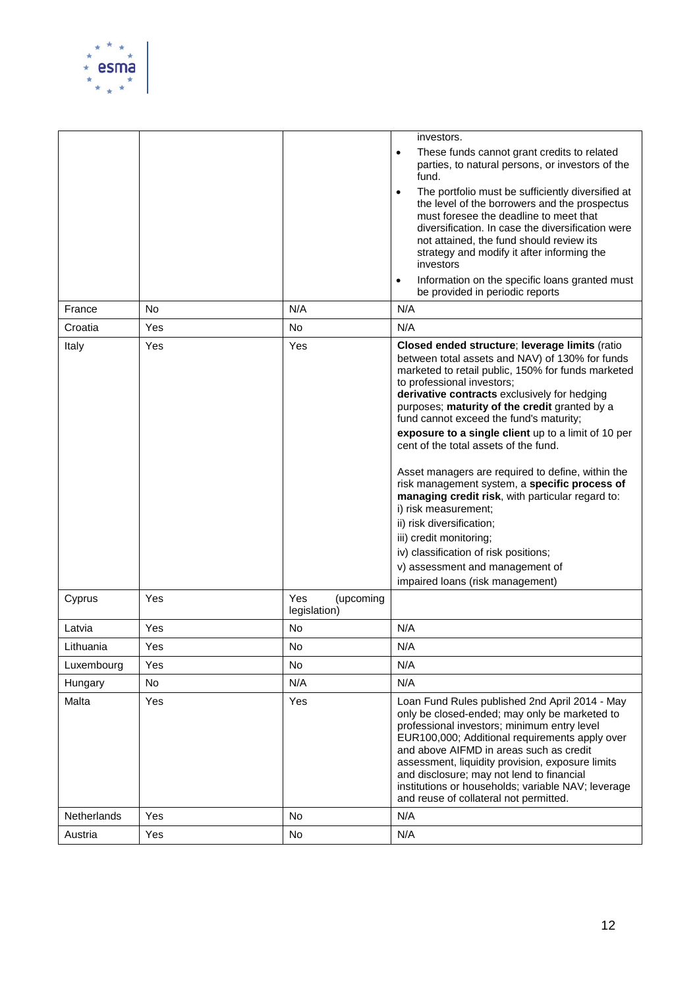

|                    |           |                                  | investors.                                                                                                                                                                                                                                                                                                                                                                                                                                                                                                                                                                                                                                                                                                                                                                                  |
|--------------------|-----------|----------------------------------|---------------------------------------------------------------------------------------------------------------------------------------------------------------------------------------------------------------------------------------------------------------------------------------------------------------------------------------------------------------------------------------------------------------------------------------------------------------------------------------------------------------------------------------------------------------------------------------------------------------------------------------------------------------------------------------------------------------------------------------------------------------------------------------------|
|                    |           |                                  | These funds cannot grant credits to related<br>$\bullet$                                                                                                                                                                                                                                                                                                                                                                                                                                                                                                                                                                                                                                                                                                                                    |
|                    |           |                                  | parties, to natural persons, or investors of the<br>fund.                                                                                                                                                                                                                                                                                                                                                                                                                                                                                                                                                                                                                                                                                                                                   |
|                    |           |                                  | The portfolio must be sufficiently diversified at<br>$\bullet$<br>the level of the borrowers and the prospectus<br>must foresee the deadline to meet that<br>diversification. In case the diversification were<br>not attained, the fund should review its<br>strategy and modify it after informing the<br>investors                                                                                                                                                                                                                                                                                                                                                                                                                                                                       |
|                    |           |                                  | Information on the specific loans granted must<br>$\bullet$<br>be provided in periodic reports                                                                                                                                                                                                                                                                                                                                                                                                                                                                                                                                                                                                                                                                                              |
| France             | <b>No</b> | N/A                              | N/A                                                                                                                                                                                                                                                                                                                                                                                                                                                                                                                                                                                                                                                                                                                                                                                         |
| Croatia            | Yes       | No                               | N/A                                                                                                                                                                                                                                                                                                                                                                                                                                                                                                                                                                                                                                                                                                                                                                                         |
| Italy              | Yes       | Yes                              | Closed ended structure; leverage limits (ratio<br>between total assets and NAV) of 130% for funds<br>marketed to retail public, 150% for funds marketed<br>to professional investors;<br>derivative contracts exclusively for hedging<br>purposes; maturity of the credit granted by a<br>fund cannot exceed the fund's maturity;<br>exposure to a single client up to a limit of 10 per<br>cent of the total assets of the fund.<br>Asset managers are required to define, within the<br>risk management system, a specific process of<br>managing credit risk, with particular regard to:<br>i) risk measurement;<br>ii) risk diversification;<br>iii) credit monitoring;<br>iv) classification of risk positions;<br>v) assessment and management of<br>impaired loans (risk management) |
| Cyprus             | Yes       | Yes<br>(upcoming<br>legislation) |                                                                                                                                                                                                                                                                                                                                                                                                                                                                                                                                                                                                                                                                                                                                                                                             |
| Latvia             | Yes       | No                               | N/A                                                                                                                                                                                                                                                                                                                                                                                                                                                                                                                                                                                                                                                                                                                                                                                         |
| Lithuania          | Yes       | No                               | N/A                                                                                                                                                                                                                                                                                                                                                                                                                                                                                                                                                                                                                                                                                                                                                                                         |
| Luxembourg         | Yes       | <b>No</b>                        | N/A                                                                                                                                                                                                                                                                                                                                                                                                                                                                                                                                                                                                                                                                                                                                                                                         |
| Hungary            | No        | N/A                              | N/A                                                                                                                                                                                                                                                                                                                                                                                                                                                                                                                                                                                                                                                                                                                                                                                         |
| Malta              | Yes       | Yes                              | Loan Fund Rules published 2nd April 2014 - May<br>only be closed-ended; may only be marketed to<br>professional investors; minimum entry level<br>EUR100,000; Additional requirements apply over<br>and above AIFMD in areas such as credit<br>assessment, liquidity provision, exposure limits<br>and disclosure; may not lend to financial<br>institutions or households; variable NAV; leverage<br>and reuse of collateral not permitted.                                                                                                                                                                                                                                                                                                                                                |
| <b>Netherlands</b> | Yes       | <b>No</b>                        | N/A                                                                                                                                                                                                                                                                                                                                                                                                                                                                                                                                                                                                                                                                                                                                                                                         |
| Austria            | Yes       | No                               | N/A                                                                                                                                                                                                                                                                                                                                                                                                                                                                                                                                                                                                                                                                                                                                                                                         |